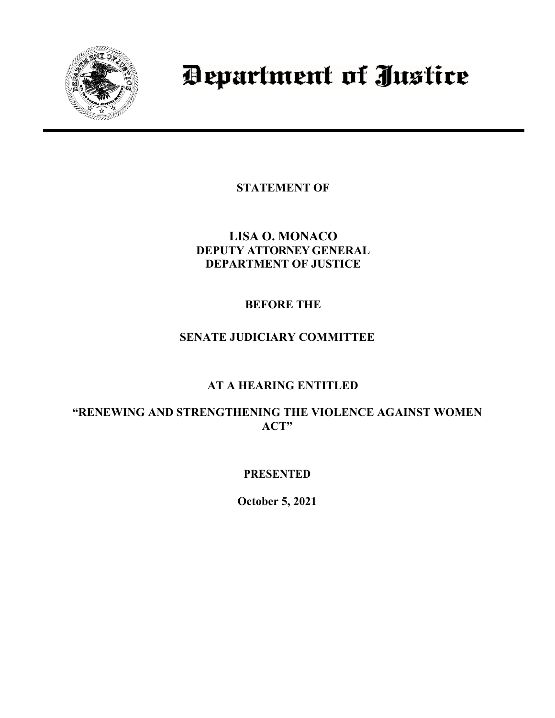

# Department of Justice

**STATEMENT OF**

## **LISA O. MONACO DEPUTY ATTORNEY GENERAL DEPARTMENT OF JUSTICE**

## **BEFORE THE**

## **SENATE JUDICIARY COMMITTEE**

# **AT A HEARING ENTITLED**

## **"RENEWING AND STRENGTHENING THE VIOLENCE AGAINST WOMEN ACT"**

### **PRESENTED**

**October 5, 2021**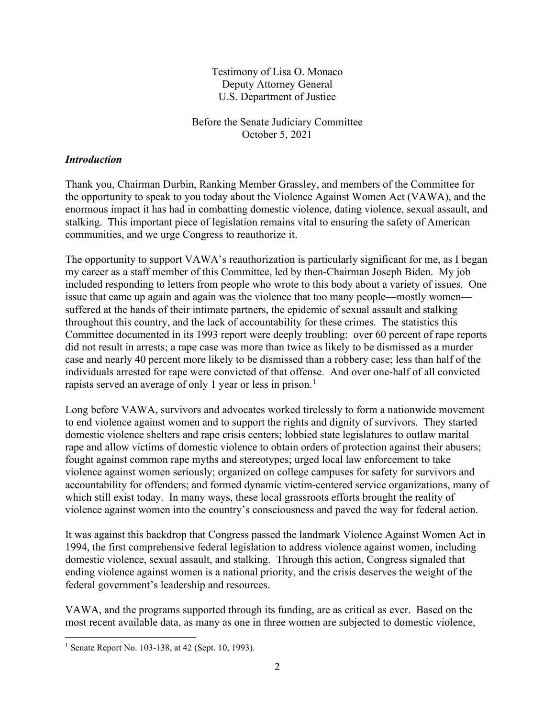Testimony of Lisa O. Monaco Deputy Attorney General U.S. Department of Justice

Before the Senate Judiciary Committee October 5, 2021

#### *Introduction*

Thank you, Chairman Durbin, Ranking Member Grassley, and members of the Committee for the opportunity to speak to you today about the Violence Against Women Act (VAWA), and the enormous impact it has had in combatting domestic violence, dating violence, sexual assault, and stalking. This important piece of legislation remains vital to ensuring the safety of American communities, and we urge Congress to reauthorize it.

The opportunity to support VAWA's reauthorization is particularly significant for me, as I began my career as a staff member of this Committee, led by then-Chairman Joseph Biden. My job included responding to letters from people who wrote to this body about a variety of issues. One issue that came up again and again was the violence that too many people—mostly women suffered at the hands of their intimate partners, the epidemic of sexual assault and stalking throughout this country, and the lack of accountability for these crimes. The statistics this Committee documented in its 1993 report were deeply troubling: over 60 percent of rape reports did not result in arrests; a rape case was more than twice as likely to be dismissed as a murder case and nearly 40 percent more likely to be dismissed than a robbery case; less than half of the individuals arrested for rape were convicted of that offense. And over one-half of all convicted rapists served an average of only [1](#page-1-0) year or less in prison.<sup>1</sup>

Long before VAWA, survivors and advocates worked tirelessly to form a nationwide movement to end violence against women and to support the rights and dignity of survivors. They started domestic violence shelters and rape crisis centers; lobbied state legislatures to outlaw marital rape and allow victims of domestic violence to obtain orders of protection against their abusers; fought against common rape myths and stereotypes; urged local law enforcement to take violence against women seriously; organized on college campuses for safety for survivors and accountability for offenders; and formed dynamic victim-centered service organizations, many of which still exist today. In many ways, these local grassroots efforts brought the reality of violence against women into the country's consciousness and paved the way for federal action.

It was against this backdrop that Congress passed the landmark Violence Against Women Act in 1994, the first comprehensive federal legislation to address violence against women, including domestic violence, sexual assault, and stalking. Through this action, Congress signaled that ending violence against women is a national priority, and the crisis deserves the weight of the federal government's leadership and resources.

VAWA, and the programs supported through its funding, are as critical as ever. Based on the most recent available data, as many as one in three women are subjected to domestic violence,

<span id="page-1-0"></span><sup>&</sup>lt;sup>1</sup> Senate Report No. 103-138, at 42 (Sept. 10, 1993).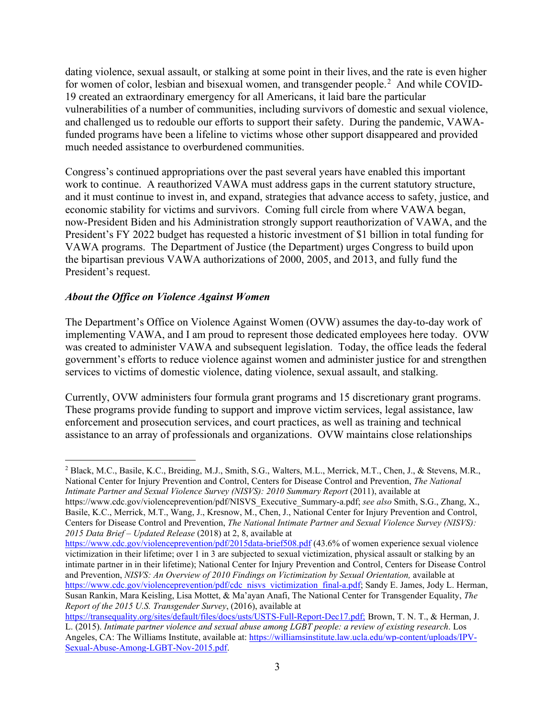dating violence, sexual assault, or stalking at some point in their lives, and the rate is even higher for women of color, lesbian and bisexual women, and transgender people.<sup>[2](#page-2-0)</sup> And while COVID-19 created an extraordinary emergency for all Americans, it laid bare the particular vulnerabilities of a number of communities, including survivors of domestic and sexual violence, and challenged us to redouble our efforts to support their safety. During the pandemic, VAWAfunded programs have been a lifeline to victims whose other support disappeared and provided much needed assistance to overburdened communities.

Congress's continued appropriations over the past several years have enabled this important work to continue. A reauthorized VAWA must address gaps in the current statutory structure, and it must continue to invest in, and expand, strategies that advance access to safety, justice, and economic stability for victims and survivors. Coming full circle from where VAWA began, now-President Biden and his Administration strongly support reauthorization of VAWA, and the President's FY 2022 budget has requested a historic investment of \$1 billion in total funding for VAWA programs. The Department of Justice (the Department) urges Congress to build upon the bipartisan previous VAWA authorizations of 2000, 2005, and 2013, and fully fund the President's request.

#### *About the Office on Violence Against Women*

The Department's Office on Violence Against Women (OVW) assumes the day-to-day work of implementing VAWA, and I am proud to represent those dedicated employees here today. OVW was created to administer VAWA and subsequent legislation. Today, the office leads the federal government's efforts to reduce violence against women and administer justice for and strengthen services to victims of domestic violence, dating violence, sexual assault, and stalking.

Currently, OVW administers four formula grant programs and 15 discretionary grant programs. These programs provide funding to support and improve victim services, legal assistance, law enforcement and prosecution services, and court practices, as well as training and technical assistance to an array of professionals and organizations. OVW maintains close relationships

<span id="page-2-0"></span><sup>2</sup> Black, M.C., Basile, K.C., Breiding, M.J., Smith, S.G., Walters, M.L., Merrick, M.T., Chen, J., & Stevens, M.R., National Center for Injury Prevention and Control, Centers for Disease Control and Prevention, *The National Intimate Partner and Sexual Violence Survey (NISVS): 2010 Summary Report* (2011), available at

https://www.cdc.gov/violenceprevention/pdf/NISVS\_Executive\_Summary-a.pdf; *see also* Smith, S.G., Zhang, X., Basile, K.C., Merrick, M.T., Wang, J., Kresnow, M., Chen, J., National Center for Injury Prevention and Control, Centers for Disease Control and Prevention, *The National Intimate Partner and Sexual Violence Survey (NISVS): 2015 Data Brief – Updated Release* (2018) at 2, 8, available at

<https://www.cdc.gov/violenceprevention/pdf/2015data-brief508.pdf> (43.6% of women experience sexual violence victimization in their lifetime; over 1 in 3 are subjected to sexual victimization, physical assault or stalking by an intimate partner in in their lifetime); National Center for Injury Prevention and Control, Centers for Disease Control and Prevention, *NISVS: An Overview of 2010 Findings on Victimization by Sexual Orientation*, available at [https://www.cdc.gov/violenceprevention/pdf/cdc\\_nisvs\\_victimization\\_final-a.pdf;](https://www.cdc.gov/violenceprevention/pdf/cdc_nisvs_victimization_final-a.pdf) Sandy E. James, Jody L. Herman, Susan Rankin, Mara Keisling, Lisa Mottet, & Ma'ayan Anafi, The National Center for Transgender Equality, *The Report of the 2015 U.S. Transgender Survey*, (2016), available at

[https://transequality.org/sites/default/files/docs/usts/USTS-Full-Report-Dec17.pdf;](https://transequality.org/sites/default/files/docs/usts/USTS-Full-Report-Dec17.pdf) Brown, T. N. T., & Herman, J. L. (2015). *Intimate partner violence and sexual abuse among LGBT people: a review of existing research*. Los Angeles, CA: The Williams Institute, available at: [https://williamsinstitute.law.ucla.edu/wp-content/uploads/IPV-](https://williamsinstitute.law.ucla.edu/wp-content/uploads/IPV-Sexual-Abuse-Among-LGBT-Nov-2015.pdf)[Sexual-Abuse-Among-LGBT-Nov-2015.pdf.](https://williamsinstitute.law.ucla.edu/wp-content/uploads/IPV-Sexual-Abuse-Among-LGBT-Nov-2015.pdf)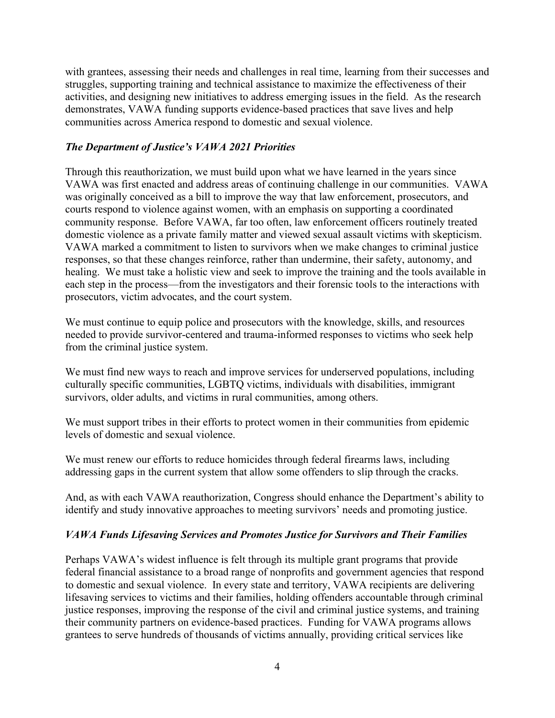with grantees, assessing their needs and challenges in real time, learning from their successes and struggles, supporting training and technical assistance to maximize the effectiveness of their activities, and designing new initiatives to address emerging issues in the field. As the research demonstrates, VAWA funding supports evidence-based practices that save lives and help communities across America respond to domestic and sexual violence.

#### *The Department of Justice's VAWA 2021 Priorities*

Through this reauthorization, we must build upon what we have learned in the years since VAWA was first enacted and address areas of continuing challenge in our communities. VAWA was originally conceived as a bill to improve the way that law enforcement, prosecutors, and courts respond to violence against women, with an emphasis on supporting a coordinated community response. Before VAWA, far too often, law enforcement officers routinely treated domestic violence as a private family matter and viewed sexual assault victims with skepticism. VAWA marked a commitment to listen to survivors when we make changes to criminal justice responses, so that these changes reinforce, rather than undermine, their safety, autonomy, and healing. We must take a holistic view and seek to improve the training and the tools available in each step in the process—from the investigators and their forensic tools to the interactions with prosecutors, victim advocates, and the court system.

We must continue to equip police and prosecutors with the knowledge, skills, and resources needed to provide survivor-centered and trauma-informed responses to victims who seek help from the criminal justice system.

We must find new ways to reach and improve services for underserved populations, including culturally specific communities, LGBTQ victims, individuals with disabilities, immigrant survivors, older adults, and victims in rural communities, among others.

We must support tribes in their efforts to protect women in their communities from epidemic levels of domestic and sexual violence.

We must renew our efforts to reduce homicides through federal firearms laws, including addressing gaps in the current system that allow some offenders to slip through the cracks.

And, as with each VAWA reauthorization, Congress should enhance the Department's ability to identify and study innovative approaches to meeting survivors' needs and promoting justice.

#### *VAWA Funds Lifesaving Services and Promotes Justice for Survivors and Their Families*

Perhaps VAWA's widest influence is felt through its multiple grant programs that provide federal financial assistance to a broad range of nonprofits and government agencies that respond to domestic and sexual violence. In every state and territory, VAWA recipients are delivering lifesaving services to victims and their families, holding offenders accountable through criminal justice responses, improving the response of the civil and criminal justice systems, and training their community partners on evidence-based practices. Funding for VAWA programs allows grantees to serve hundreds of thousands of victims annually, providing critical services like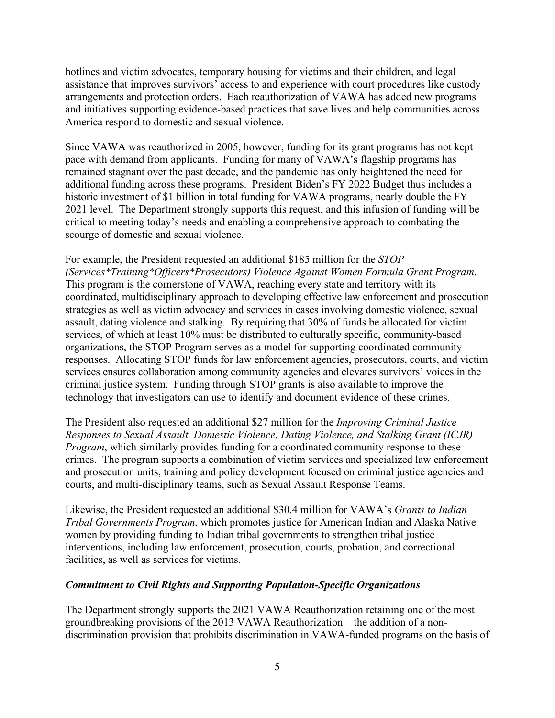hotlines and victim advocates, temporary housing for victims and their children, and legal assistance that improves survivors' access to and experience with court procedures like custody arrangements and protection orders. Each reauthorization of VAWA has added new programs and initiatives supporting evidence-based practices that save lives and help communities across America respond to domestic and sexual violence.

Since VAWA was reauthorized in 2005, however, funding for its grant programs has not kept pace with demand from applicants. Funding for many of VAWA's flagship programs has remained stagnant over the past decade, and the pandemic has only heightened the need for additional funding across these programs. President Biden's FY 2022 Budget thus includes a historic investment of \$1 billion in total funding for VAWA programs, nearly double the FY 2021 level. The Department strongly supports this request, and this infusion of funding will be critical to meeting today's needs and enabling a comprehensive approach to combating the scourge of domestic and sexual violence.

For example, the President requested an additional \$185 million for the *STOP (Services\*Training\*Officers\*Prosecutors) Violence Against Women Formula Grant Program*. This program is the cornerstone of VAWA, reaching every state and territory with its coordinated, multidisciplinary approach to developing effective law enforcement and prosecution strategies as well as victim advocacy and services in cases involving domestic violence, sexual assault, dating violence and stalking. By requiring that 30% of funds be allocated for victim services, of which at least 10% must be distributed to culturally specific, community-based organizations, the STOP Program serves as a model for supporting coordinated community responses. Allocating STOP funds for law enforcement agencies, prosecutors, courts, and victim services ensures collaboration among community agencies and elevates survivors' voices in the criminal justice system. Funding through STOP grants is also available to improve the technology that investigators can use to identify and document evidence of these crimes.

The President also requested an additional \$27 million for the *Improving Criminal Justice Responses to Sexual Assault, Domestic Violence, Dating Violence, and Stalking Grant (ICJR) Program*, which similarly provides funding for a coordinated community response to these crimes. The program supports a combination of victim services and specialized law enforcement and prosecution units, training and policy development focused on criminal justice agencies and courts, and multi-disciplinary teams, such as Sexual Assault Response Teams.

Likewise, the President requested an additional \$30.4 million for VAWA's *Grants to Indian Tribal Governments Program*, which promotes justice for American Indian and Alaska Native women by providing funding to Indian tribal governments to strengthen tribal justice interventions, including law enforcement, prosecution, courts, probation, and correctional facilities, as well as services for victims.

#### *Commitment to Civil Rights and Supporting Population-Specific Organizations*

The Department strongly supports the 2021 VAWA Reauthorization retaining one of the most groundbreaking provisions of the 2013 VAWA Reauthorization—the addition of a nondiscrimination provision that prohibits discrimination in VAWA-funded programs on the basis of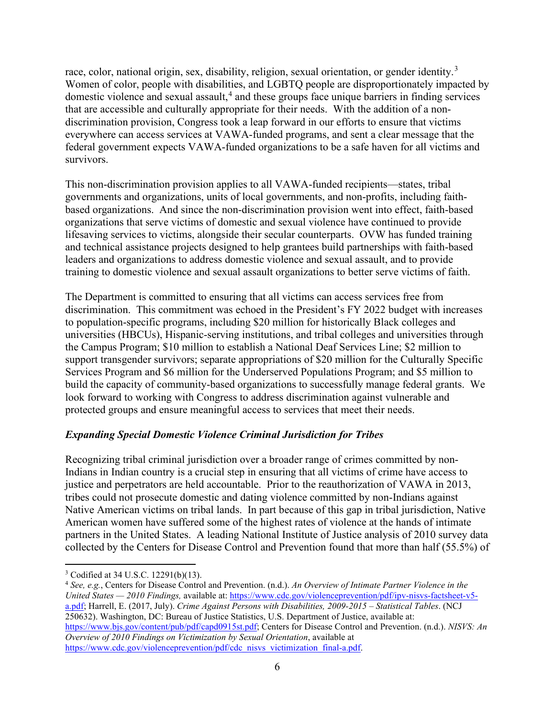race, color, national origin, sex, disability, religion, sexual orientation, or gender identity.<sup>[3](#page-5-0)</sup> Women of color, people with disabilities, and LGBTQ people are disproportionately impacted by domestic violence and sexual assault, $<sup>4</sup>$  $<sup>4</sup>$  $<sup>4</sup>$  and these groups face unique barriers in finding services</sup> that are accessible and culturally appropriate for their needs. With the addition of a nondiscrimination provision, Congress took a leap forward in our efforts to ensure that victims everywhere can access services at VAWA-funded programs, and sent a clear message that the federal government expects VAWA-funded organizations to be a safe haven for all victims and survivors.

This non-discrimination provision applies to all VAWA-funded recipients—states, tribal governments and organizations, units of local governments, and non-profits, including faithbased organizations. And since the non-discrimination provision went into effect, faith-based organizations that serve victims of domestic and sexual violence have continued to provide lifesaving services to victims, alongside their secular counterparts. OVW has funded training and technical assistance projects designed to help grantees build partnerships with faith-based leaders and organizations to address domestic violence and sexual assault, and to provide training to domestic violence and sexual assault organizations to better serve victims of faith.

The Department is committed to ensuring that all victims can access services free from discrimination. This commitment was echoed in the President's FY 2022 budget with increases to population-specific programs, including \$20 million for historically Black colleges and universities (HBCUs), Hispanic-serving institutions, and tribal colleges and universities through the Campus Program; \$10 million to establish a National Deaf Services Line; \$2 million to support transgender survivors; separate appropriations of \$20 million for the Culturally Specific Services Program and \$6 million for the Underserved Populations Program; and \$5 million to build the capacity of community-based organizations to successfully manage federal grants. We look forward to working with Congress to address discrimination against vulnerable and protected groups and ensure meaningful access to services that meet their needs.

#### *Expanding Special Domestic Violence Criminal Jurisdiction for Tribes*

Recognizing tribal criminal jurisdiction over a broader range of crimes committed by non-Indians in Indian country is a crucial step in ensuring that all victims of crime have access to justice and perpetrators are held accountable. Prior to the reauthorization of VAWA in 2013, tribes could not prosecute domestic and dating violence committed by non-Indians against Native American victims on tribal lands. In part because of this gap in tribal jurisdiction, Native American women have suffered some of the highest rates of violence at the hands of intimate partners in the United States. A leading National Institute of Justice analysis of 2010 survey data collected by the Centers for Disease Control and Prevention found that more than half (55.5%) of

<span id="page-5-1"></span><sup>4</sup> *See, e.g.*, Centers for Disease Control and Prevention. (n.d.). *An Overview of Intimate Partner Violence in the United States — 2010 Findings,* available at[: https://www.cdc.gov/violenceprevention/pdf/ipv-nisvs-factsheet-v5](https://www.cdc.gov/violenceprevention/pdf/ipv-nisvs-factsheet-v5-a.pdf) [a.pdf;](https://www.cdc.gov/violenceprevention/pdf/ipv-nisvs-factsheet-v5-a.pdf) Harrell, E. (2017, July). *Crime Against Persons with Disabilities, 2009-2015 – Statistical Tables*. (NCJ 250632). Washington, DC: Bureau of Justice Statistics, U.S. Department of Justice, available at: [https://www.bjs.gov/content/pub/pdf/capd0915st.pdf;](https://www.bjs.gov/content/pub/pdf/capd0915st.pdf) Centers for Disease Control and Prevention. (n.d.). *NISVS: An Overview of 2010 Findings on Victimization by Sexual Orientation*, available at [https://www.cdc.gov/violenceprevention/pdf/cdc\\_nisvs\\_victimization\\_final-a.pdf.](https://www.cdc.gov/violenceprevention/pdf/cdc_nisvs_victimization_final-a.pdf)

<span id="page-5-0"></span><sup>3</sup> Codified at 34 U.S.C. 12291(b)(13).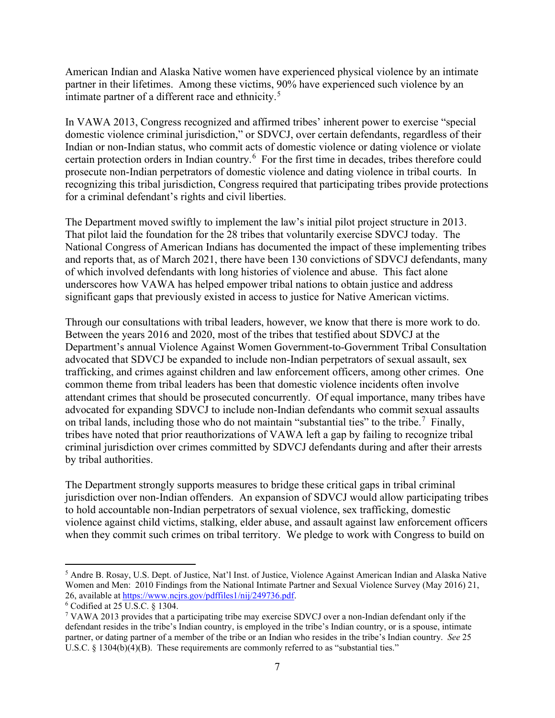American Indian and Alaska Native women have experienced physical violence by an intimate partner in their lifetimes. Among these victims, 90% have experienced such violence by an intimate partner of a different race and ethnicity.<sup>[5](#page-6-0)</sup>

In VAWA 2013, Congress recognized and affirmed tribes' inherent power to exercise "special domestic violence criminal jurisdiction," or SDVCJ, over certain defendants, regardless of their Indian or non-Indian status, who commit acts of domestic violence or dating violence or violate certain protection orders in Indian country.<sup>[6](#page-6-1)</sup> For the first time in decades, tribes therefore could prosecute non-Indian perpetrators of domestic violence and dating violence in tribal courts. In recognizing this tribal jurisdiction, Congress required that participating tribes provide protections for a criminal defendant's rights and civil liberties.

The Department moved swiftly to implement the law's initial pilot project structure in 2013. That pilot laid the foundation for the 28 tribes that voluntarily exercise SDVCJ today. The National Congress of American Indians has documented the impact of these implementing tribes and reports that, as of March 2021, there have been 130 convictions of SDVCJ defendants, many of which involved defendants with long histories of violence and abuse. This fact alone underscores how VAWA has helped empower tribal nations to obtain justice and address significant gaps that previously existed in access to justice for Native American victims.

Through our consultations with tribal leaders, however, we know that there is more work to do. Between the years 2016 and 2020, most of the tribes that testified about SDVCJ at the Department's annual Violence Against Women Government-to-Government Tribal Consultation advocated that SDVCJ be expanded to include non-Indian perpetrators of sexual assault, sex trafficking, and crimes against children and law enforcement officers, among other crimes. One common theme from tribal leaders has been that domestic violence incidents often involve attendant crimes that should be prosecuted concurrently. Of equal importance, many tribes have advocated for expanding SDVCJ to include non-Indian defendants who commit sexual assaults on tribal lands, including those who do not maintain "substantial ties" to the tribe.<sup>[7](#page-6-2)</sup> Finally, tribes have noted that prior reauthorizations of VAWA left a gap by failing to recognize tribal criminal jurisdiction over crimes committed by SDVCJ defendants during and after their arrests by tribal authorities.

The Department strongly supports measures to bridge these critical gaps in tribal criminal jurisdiction over non-Indian offenders. An expansion of SDVCJ would allow participating tribes to hold accountable non-Indian perpetrators of sexual violence, sex trafficking, domestic violence against child victims, stalking, elder abuse, and assault against law enforcement officers when they commit such crimes on tribal territory. We pledge to work with Congress to build on

<span id="page-6-0"></span><sup>5</sup> Andre B. Rosay, U.S. Dept. of Justice, Nat'l Inst. of Justice, Violence Against American Indian and Alaska Native Women and Men: 2010 Findings from the National Intimate Partner and Sexual Violence Survey (May 2016) 21, 26, available at [https://www.ncjrs.gov/pdffiles1/nij/249736.pdf.](https://www.ncjrs.gov/pdffiles1/nij/249736.pdf) 6 Codified at 25 U.S.C. § 1304.

<span id="page-6-1"></span>

<span id="page-6-2"></span><sup>7</sup> VAWA 2013 provides that a participating tribe may exercise SDVCJ over a non-Indian defendant only if the defendant resides in the tribe's Indian country, is employed in the tribe's Indian country, or is a spouse, intimate partner, or dating partner of a member of the tribe or an Indian who resides in the tribe's Indian country. *See* 25 U.S.C. § 1304(b)(4)(B). These requirements are commonly referred to as "substantial ties."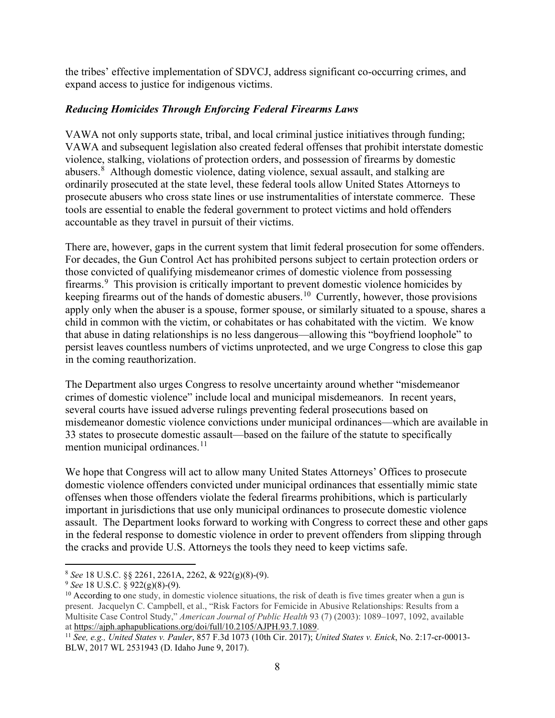the tribes' effective implementation of SDVCJ, address significant co-occurring crimes, and expand access to justice for indigenous victims.

#### *Reducing Homicides Through Enforcing Federal Firearms Laws*

VAWA not only supports state, tribal, and local criminal justice initiatives through funding; VAWA and subsequent legislation also created federal offenses that prohibit interstate domestic violence, stalking, violations of protection orders, and possession of firearms by domestic abusers.<sup>[8](#page-7-0)</sup> Although domestic violence, dating violence, sexual assault, and stalking are ordinarily prosecuted at the state level, these federal tools allow United States Attorneys to prosecute abusers who cross state lines or use instrumentalities of interstate commerce. These tools are essential to enable the federal government to protect victims and hold offenders accountable as they travel in pursuit of their victims.

There are, however, gaps in the current system that limit federal prosecution for some offenders. For decades, the Gun Control Act has prohibited persons subject to certain protection orders or those convicted of qualifying misdemeanor crimes of domestic violence from possessing firearms.<sup>[9](#page-7-1)</sup> This provision is critically important to prevent domestic violence homicides by keeping firearms out of the hands of domestic abusers.<sup>10</sup> Currently, however, those provisions apply only when the abuser is a spouse, former spouse, or similarly situated to a spouse, shares a child in common with the victim, or cohabitates or has cohabitated with the victim. We know that abuse in dating relationships is no less dangerous—allowing this "boyfriend loophole" to persist leaves countless numbers of victims unprotected, and we urge Congress to close this gap in the coming reauthorization.

The Department also urges Congress to resolve uncertainty around whether "misdemeanor crimes of domestic violence" include local and municipal misdemeanors. In recent years, several courts have issued adverse rulings preventing federal prosecutions based on misdemeanor domestic violence convictions under municipal ordinances—which are available in 33 states to prosecute domestic assault—based on the failure of the statute to specifically mention municipal ordinances.<sup>[11](#page-7-3)</sup>

We hope that Congress will act to allow many United States Attorneys' Offices to prosecute domestic violence offenders convicted under municipal ordinances that essentially mimic state offenses when those offenders violate the federal firearms prohibitions, which is particularly important in jurisdictions that use only municipal ordinances to prosecute domestic violence assault. The Department looks forward to working with Congress to correct these and other gaps in the federal response to domestic violence in order to prevent offenders from slipping through the cracks and provide U.S. Attorneys the tools they need to keep victims safe.

<span id="page-7-0"></span><sup>8</sup> *See* 18 U.S.C. §§ 2261, 2261A, 2262, & 922(g)(8)-(9).

<span id="page-7-1"></span><sup>9</sup> *See* 18 U.S.C. § 922(g)(8)-(9).

<span id="page-7-2"></span> $10$  According to one study, in domestic violence situations, the risk of death is five times greater when a gun is present. Jacquelyn C. Campbell, et al., "Risk Factors for Femicide in Abusive Relationships: Results from a Multisite Case Control Study," *American Journal of Public Health* 93 (7) (2003): 1089–1097, 1092, available at [https://ajph.aphapublications.org/doi/full/10.2105/AJPH.93.7.1089.](https://ajph.aphapublications.org/doi/full/10.2105/AJPH.93.7.1089)

<span id="page-7-3"></span><sup>11</sup> *See, e.g., United States v. Pauler*, 857 F.3d 1073 (10th Cir. 2017); *United States v. Enick*, No. 2:17-cr-00013- BLW, 2017 WL 2531943 (D. Idaho June 9, 2017).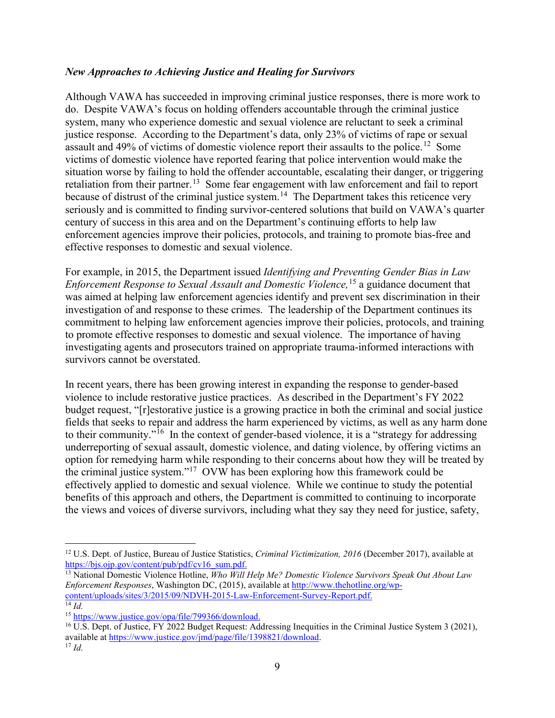#### *New Approaches to Achieving Justice and Healing for Survivors*

Although VAWA has succeeded in improving criminal justice responses, there is more work to do. Despite VAWA's focus on holding offenders accountable through the criminal justice system, many who experience domestic and sexual violence are reluctant to seek a criminal justice response. According to the Department's data, only 23% of victims of rape or sexual assault and 49% of victims of domestic violence report their assaults to the police.<sup>[12](#page-8-0)</sup> Some victims of domestic violence have reported fearing that police intervention would make the situation worse by failing to hold the offender accountable, escalating their danger, or triggering retaliation from their partner.<sup>13</sup> Some fear engagement with law enforcement and fail to report because of distrust of the criminal justice system.<sup>[14](#page-8-2)</sup> The Department takes this reticence very seriously and is committed to finding survivor-centered solutions that build on VAWA's quarter century of success in this area and on the Department's continuing efforts to help law enforcement agencies improve their policies, protocols, and training to promote bias-free and effective responses to domestic and sexual violence.

For example, in 2015, the Department issued *Identifying and Preventing Gender Bias in Law Enforcement Response to Sexual Assault and Domestic Violence,*[15](#page-8-3) a guidance document that was aimed at helping law enforcement agencies identify and prevent sex discrimination in their investigation of and response to these crimes. The leadership of the Department continues its commitment to helping law enforcement agencies improve their policies, protocols, and training to promote effective responses to domestic and sexual violence. The importance of having investigating agents and prosecutors trained on appropriate trauma-informed interactions with survivors cannot be overstated.

In recent years, there has been growing interest in expanding the response to gender-based violence to include restorative justice practices. As described in the Department's FY 2022 budget request, "[r]estorative justice is a growing practice in both the criminal and social justice fields that seeks to repair and address the harm experienced by victims, as well as any harm done to their community."<sup>16</sup> In the context of gender-based violence, it is a "strategy for addressing underreporting of sexual assault, domestic violence, and dating violence, by offering victims an option for remedying harm while responding to their concerns about how they will be treated by the criminal justice system."[17](#page-8-5) OVW has been exploring how this framework could be effectively applied to domestic and sexual violence. While we continue to study the potential benefits of this approach and others, the Department is committed to continuing to incorporate the views and voices of diverse survivors, including what they say they need for justice, safety,

<span id="page-8-0"></span><sup>12</sup> U.S. Dept. of Justice, Bureau of Justice Statistics, *Criminal Victimization, 2016* (December 2017), available at [https://bjs.ojp.gov/content/pub/pdf/cv16\\_sum.pdf.](https://bjs.ojp.gov/content/pub/pdf/cv16_sum.pdf)

<span id="page-8-1"></span><sup>13</sup> National Domestic Violence Hotline, *Who Will Help Me? Domestic Violence Survivors Speak Out About Law Enforcement Responses*, Washington DC, (2015), available at [http://www.thehotline.org/wp](http://www.thehotline.org/wp-content/uploads/sites/3/2015/09/NDVH-2015-Law-Enforcement-Survey-Report.pdf)[content/uploads/sites/3/2015/09/NDVH-2015-Law-Enforcement-Survey-Report.pdf.](http://www.thehotline.org/wp-content/uploads/sites/3/2015/09/NDVH-2015-Law-Enforcement-Survey-Report.pdf)  $\overline{14}$  *Id.* 

<span id="page-8-3"></span><span id="page-8-2"></span><sup>15</sup> [https://www.justice.gov/opa/file/799366/download.](https://www.justice.gov/opa/file/799366/download)

<span id="page-8-5"></span><span id="page-8-4"></span><sup>&</sup>lt;sup>16</sup> U.S. Dept. of Justice, FY 2022 Budget Request: Addressing Inequities in the Criminal Justice System 3 (2021), available at [https://www.justice.gov/jmd/page/file/1398821/download.](https://www.justice.gov/jmd/page/file/1398821/download) 17 *Id.*